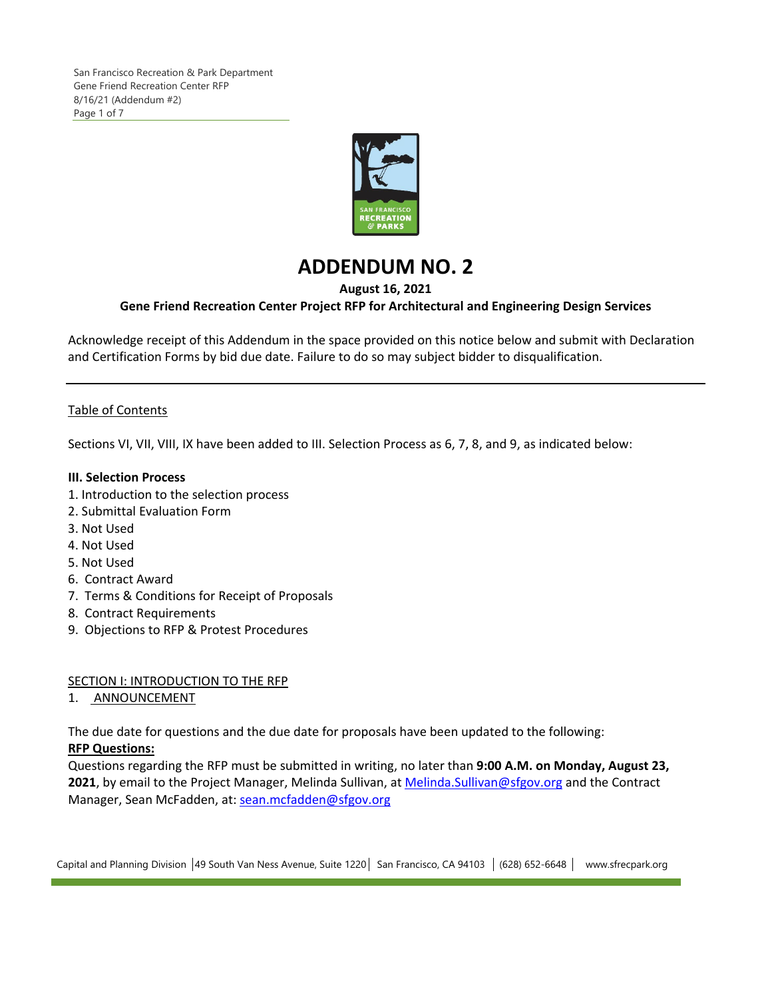

# **ADDENDUM NO. 2**

# **August 16, 2021**

# **Gene Friend Recreation Center Project RFP for Architectural and Engineering Design Services**

Acknowledge receipt of this Addendum in the space provided on this notice below and submit with Declaration and Certification Forms by bid due date. Failure to do so may subject bidder to disqualification.

# Table of Contents

Sections VI, VII, VIII, IX have been added to III. Selection Process as 6, 7, 8, and 9, as indicated below:

## **III. Selection Process**

- 1. Introduction to the selection process
- 2. Submittal Evaluation Form
- 3. Not Used
- 4. Not Used
- 5. Not Used
- 6. Contract Award
- 7. Terms & Conditions for Receipt of Proposals
- 8. Contract Requirements
- 9. Objections to RFP & Protest Procedures

SECTION I: INTRODUCTION TO THE RFP

1. ANNOUNCEMENT

The due date for questions and the due date for proposals have been updated to the following: **RFP Questions:**

Questions regarding the RFP must be submitted in writing, no later than **9:00 A.M. on Monday, August 23,** 2021, by email to the Project Manager, Melinda Sullivan, at Melinda.Sullivan@sfgov.org and the Contract Manager, Sean McFadden, at: sean.mcfadden@sfgov.org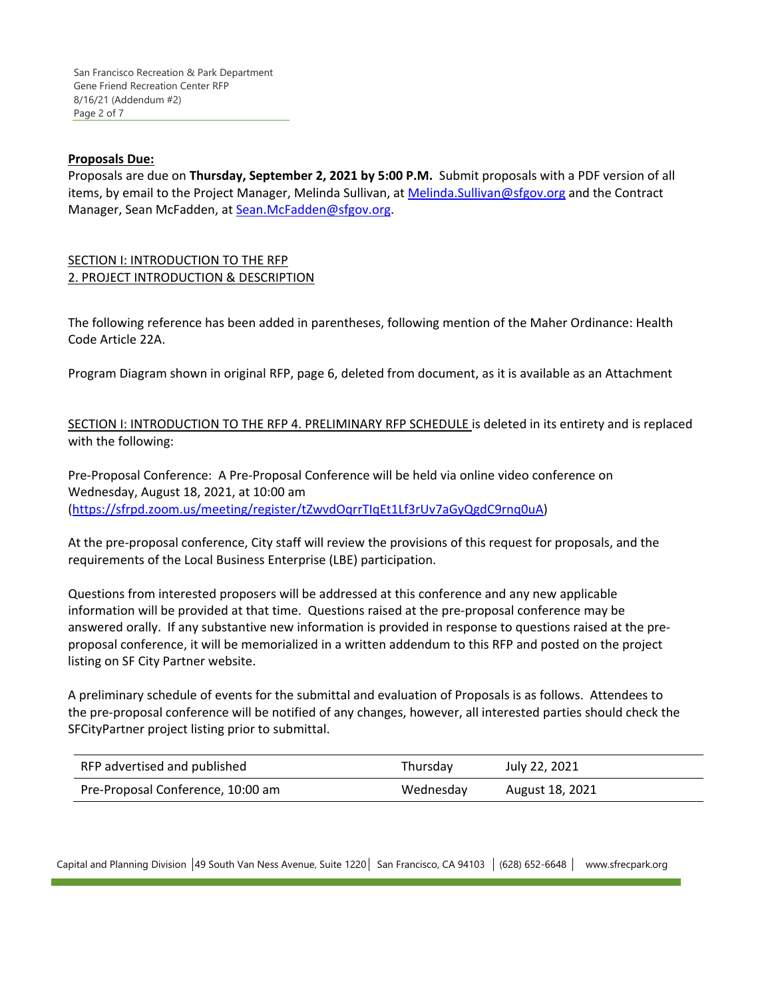### **Proposals Due:**

Proposals are due on **Thursday, September 2, 2021 by 5:00 P.M.** Submit proposals with a PDF version of all items, by email to the Project Manager, Melinda Sullivan, at Melinda. Sullivan@sfgov.org and the Contract Manager, Sean McFadden, at Sean.McFadden@sfgov.org.

## SECTION I: INTRODUCTION TO THE RFP 2. PROJECT INTRODUCTION & DESCRIPTION

The following reference has been added in parentheses, following mention of the Maher Ordinance: Health Code Article 22A.

Program Diagram shown in original RFP, page 6, deleted from document, as it is available as an Attachment

SECTION I: INTRODUCTION TO THE RFP 4. PRELIMINARY RFP SCHEDULE is deleted in its entirety and is replaced with the following:

Pre‐Proposal Conference: A Pre‐Proposal Conference will be held via online video conference on Wednesday, August 18, 2021, at 10:00 am (https://sfrpd.zoom.us/meeting/register/tZwvdOqrrTIqEt1Lf3rUv7aGyQgdC9rnq0uA)

At the pre‐proposal conference, City staff will review the provisions of this request for proposals, and the requirements of the Local Business Enterprise (LBE) participation.

Questions from interested proposers will be addressed at this conference and any new applicable information will be provided at that time. Questions raised at the pre-proposal conference may be answered orally. If any substantive new information is provided in response to questions raised at the pre‐ proposal conference, it will be memorialized in a written addendum to this RFP and posted on the project listing on SF City Partner website.

A preliminary schedule of events for the submittal and evaluation of Proposals is as follows. Attendees to the pre‐proposal conference will be notified of any changes, however, all interested parties should check the SFCityPartner project listing prior to submittal.

| RFP advertised and published      | Thursday  | July 22, 2021   |
|-----------------------------------|-----------|-----------------|
| Pre-Proposal Conference, 10:00 am | Wednesday | August 18, 2021 |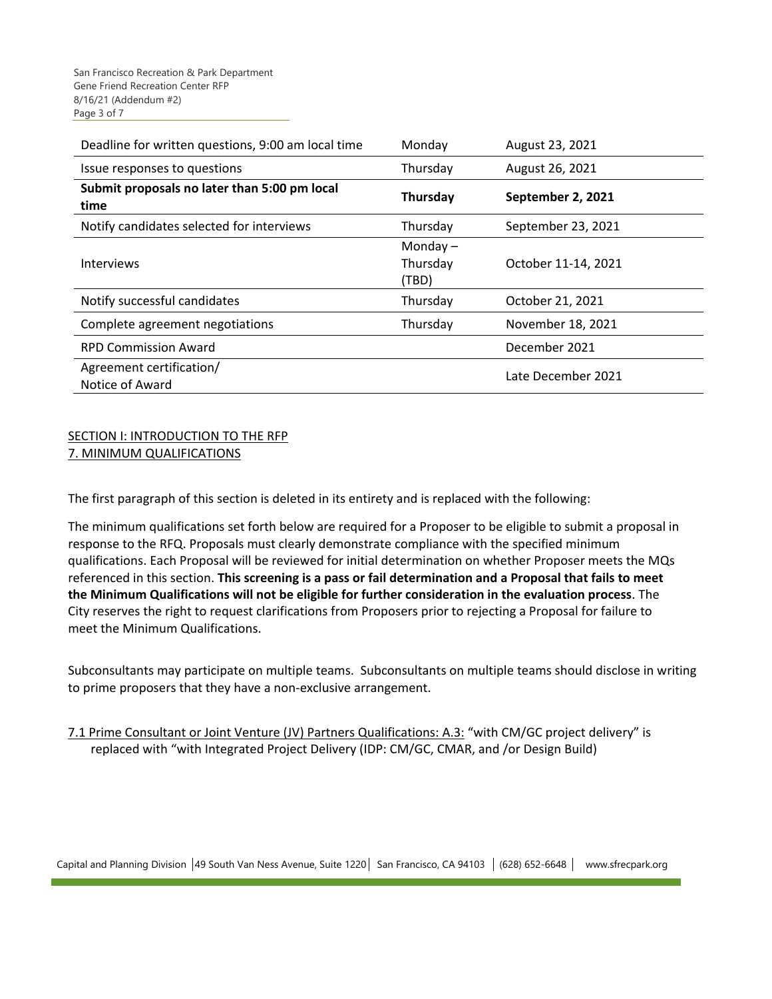| Deadline for written questions, 9:00 am local time   | Monday                          | August 23, 2021     |
|------------------------------------------------------|---------------------------------|---------------------|
| Issue responses to questions                         | Thursday                        | August 26, 2021     |
| Submit proposals no later than 5:00 pm local<br>time | <b>Thursday</b>                 | September 2, 2021   |
| Notify candidates selected for interviews            | Thursday                        | September 23, 2021  |
| <b>Interviews</b>                                    | Monday $-$<br>Thursday<br>(TBD) | October 11-14, 2021 |
| Notify successful candidates                         | Thursday                        | October 21, 2021    |
| Complete agreement negotiations                      | Thursday                        | November 18, 2021   |
| <b>RPD Commission Award</b>                          |                                 | December 2021       |
| Agreement certification/<br>Notice of Award          |                                 | Late December 2021  |

## SECTION I: INTRODUCTION TO THE RFP 7. MINIMUM QUALIFICATIONS

The first paragraph of this section is deleted in its entirety and is replaced with the following:

The minimum qualifications set forth below are required for a Proposer to be eligible to submit a proposal in response to the RFQ. Proposals must clearly demonstrate compliance with the specified minimum qualifications. Each Proposal will be reviewed for initial determination on whether Proposer meets the MQs referenced in this section. **This screening is a pass or fail determination and a Proposal that fails to meet the Minimum Qualifications will not be eligible for further consideration in the evaluation process**. The City reserves the right to request clarifications from Proposers prior to rejecting a Proposal for failure to meet the Minimum Qualifications.

Subconsultants may participate on multiple teams. Subconsultants on multiple teams should disclose in writing to prime proposers that they have a non‐exclusive arrangement.

7.1 Prime Consultant or Joint Venture (JV) Partners Qualifications: A.3: "with CM/GC project delivery" is replaced with "with Integrated Project Delivery (IDP: CM/GC, CMAR, and /or Design Build)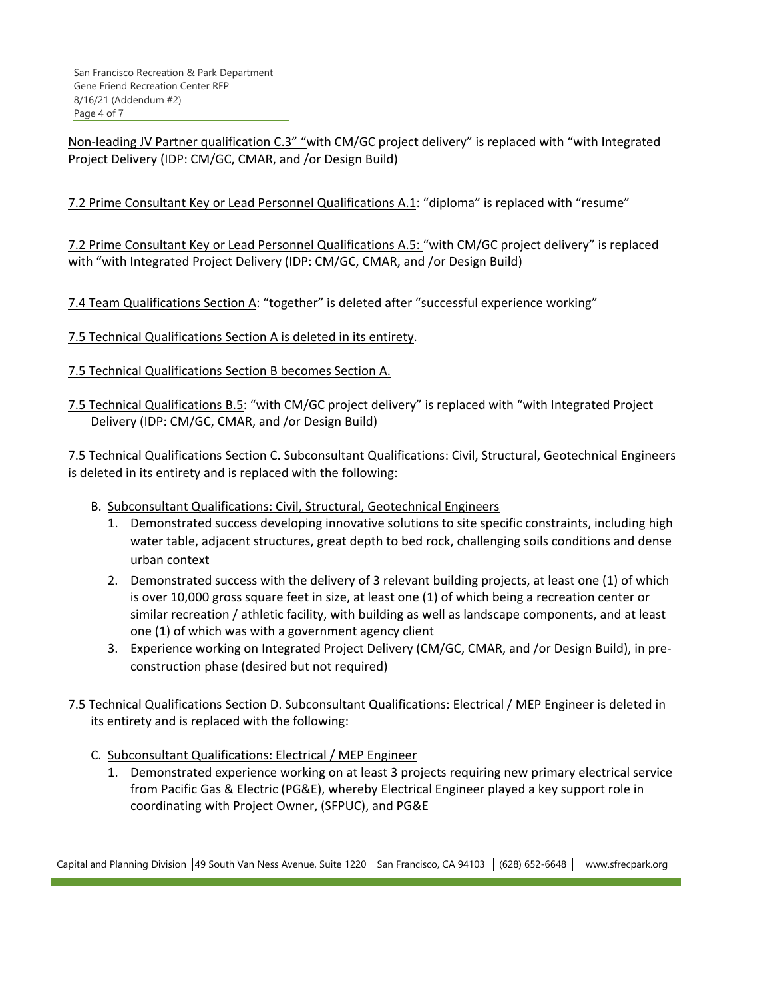Non-leading JV Partner qualification C.3" "with CM/GC project delivery" is replaced with "with Integrated Project Delivery (IDP: CM/GC, CMAR, and /or Design Build)

7.2 Prime Consultant Key or Lead Personnel Qualifications A.1: "diploma" is replaced with "resume"

7.2 Prime Consultant Key or Lead Personnel Qualifications A.5: "with CM/GC project delivery" is replaced with "with Integrated Project Delivery (IDP: CM/GC, CMAR, and /or Design Build)

7.4 Team Qualifications Section A: "together" is deleted after "successful experience working"

7.5 Technical Qualifications Section A is deleted in its entirety.

- 7.5 Technical Qualifications Section B becomes Section A.
- 7.5 Technical Qualifications B.5: "with CM/GC project delivery" is replaced with "with Integrated Project Delivery (IDP: CM/GC, CMAR, and /or Design Build)

7.5 Technical Qualifications Section C. Subconsultant Qualifications: Civil, Structural, Geotechnical Engineers is deleted in its entirety and is replaced with the following:

- B. Subconsultant Qualifications: Civil, Structural, Geotechnical Engineers
	- 1. Demonstrated success developing innovative solutions to site specific constraints, including high water table, adjacent structures, great depth to bed rock, challenging soils conditions and dense urban context
	- 2. Demonstrated success with the delivery of 3 relevant building projects, at least one (1) of which is over 10,000 gross square feet in size, at least one (1) of which being a recreation center or similar recreation / athletic facility, with building as well as landscape components, and at least one (1) of which was with a government agency client
	- 3. Experience working on Integrated Project Delivery (CM/GC, CMAR, and /or Design Build), in pre‐ construction phase (desired but not required)

7.5 Technical Qualifications Section D. Subconsultant Qualifications: Electrical / MEP Engineer is deleted in its entirety and is replaced with the following:

- C. Subconsultant Qualifications: Electrical / MEP Engineer
	- 1. Demonstrated experience working on at least 3 projects requiring new primary electrical service from Pacific Gas & Electric (PG&E), whereby Electrical Engineer played a key support role in coordinating with Project Owner, (SFPUC), and PG&E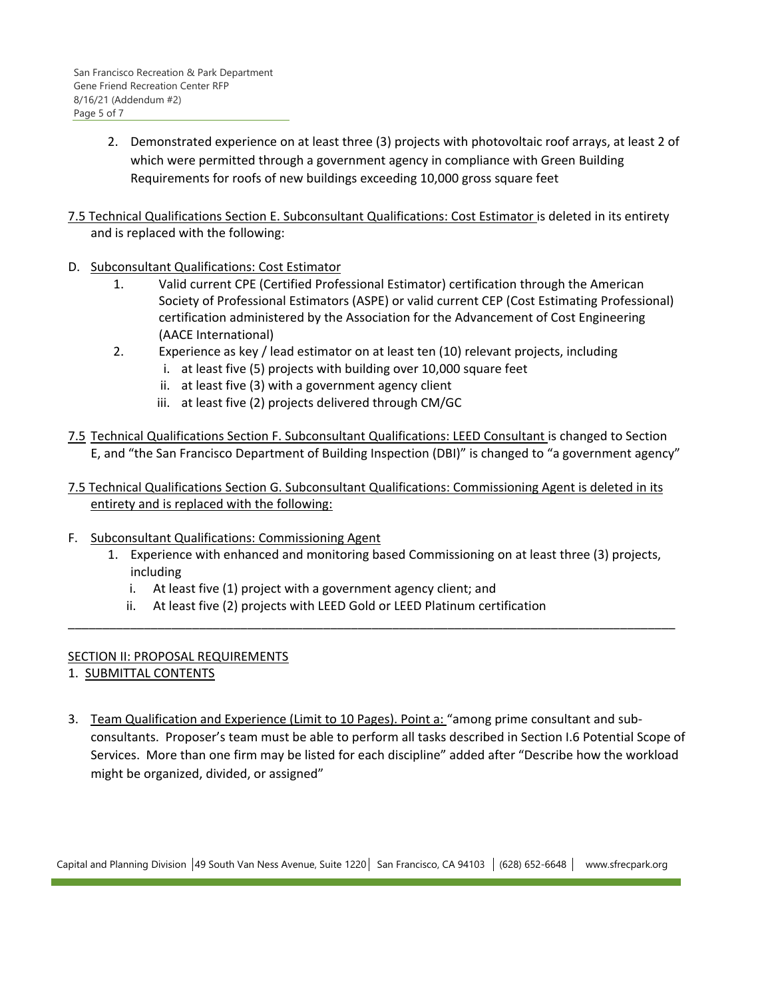- 2. Demonstrated experience on at least three (3) projects with photovoltaic roof arrays, at least 2 of which were permitted through a government agency in compliance with Green Building Requirements for roofs of new buildings exceeding 10,000 gross square feet
- 7.5 Technical Qualifications Section E. Subconsultant Qualifications: Cost Estimator is deleted in its entirety and is replaced with the following:
- D. Subconsultant Qualifications: Cost Estimator
	- 1. Valid current CPE (Certified Professional Estimator) certification through the American Society of Professional Estimators (ASPE) or valid current CEP (Cost Estimating Professional) certification administered by the Association for the Advancement of Cost Engineering (AACE International)
	- 2. Experience as key / lead estimator on at least ten (10) relevant projects, including
		- i. at least five (5) projects with building over 10,000 square feet
			- ii. at least five (3) with a government agency client
		- iii. at least five (2) projects delivered through CM/GC
- 7.5 Technical Qualifications Section F. Subconsultant Qualifications: LEED Consultant is changed to Section E, and "the San Francisco Department of Building Inspection (DBI)" is changed to "a government agency"
- 7.5 Technical Qualifications Section G. Subconsultant Qualifications: Commissioning Agent is deleted in its entirety and is replaced with the following:
- F. Subconsultant Qualifications: Commissioning Agent
	- 1. Experience with enhanced and monitoring based Commissioning on at least three (3) projects, including

\_\_\_\_\_\_\_\_\_\_\_\_\_\_\_\_\_\_\_\_\_\_\_\_\_\_\_\_\_\_\_\_\_\_\_\_\_\_\_\_\_\_\_\_\_\_\_\_\_\_\_\_\_\_\_\_\_\_\_\_\_\_\_\_\_\_\_\_\_\_\_\_\_\_\_\_\_\_\_\_\_\_\_\_\_\_\_\_

- i. At least five (1) project with a government agency client; and
- ii. At least five (2) projects with LEED Gold or LEED Platinum certification

### SECTION II: PROPOSAL REQUIREMENTS

- 1. SUBMITTAL CONTENTS
- 3. Team Qualification and Experience (Limit to 10 Pages). Point a: "among prime consultant and subconsultants. Proposer's team must be able to perform all tasks described in Section I.6 Potential Scope of Services. More than one firm may be listed for each discipline" added after "Describe how the workload might be organized, divided, or assigned"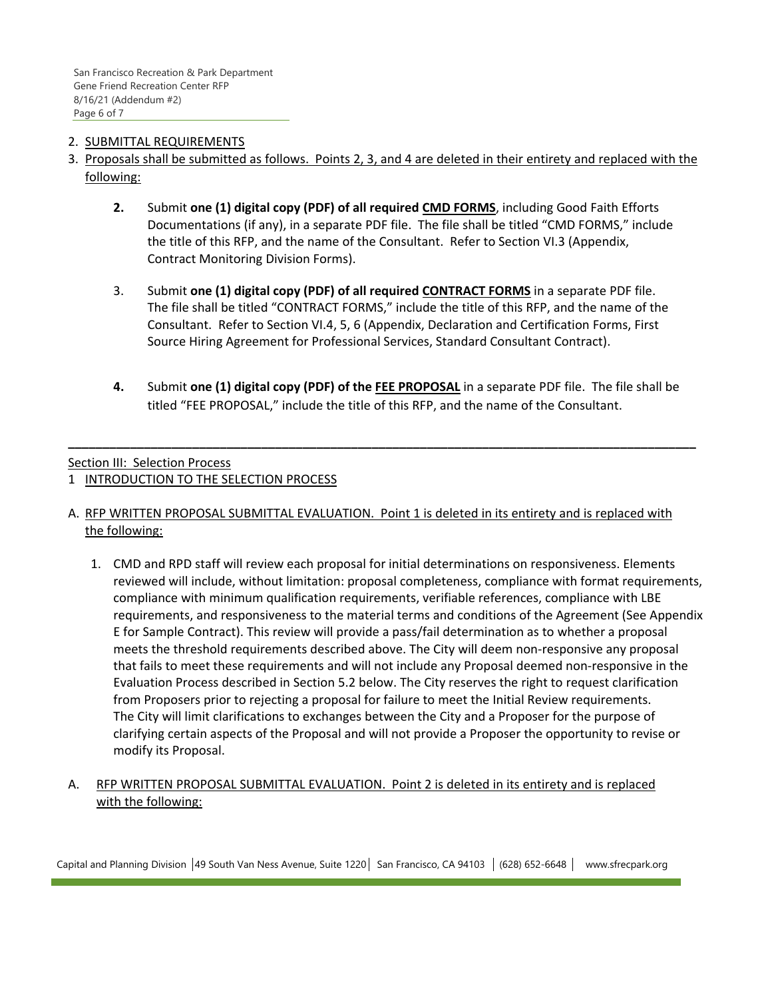## 2. SUBMITTAL REQUIREMENTS

- 3. Proposals shall be submitted as follows. Points 2, 3, and 4 are deleted in their entirety and replaced with the following:
	- **2.** Submit **one (1) digital copy (PDF) of all required CMD FORMS**, including Good Faith Efforts Documentations (if any), in a separate PDF file. The file shall be titled "CMD FORMS," include the title of this RFP, and the name of the Consultant. Refer to Section VI.3 (Appendix, Contract Monitoring Division Forms).
	- 3. Submit **one (1) digital copy (PDF) of all required CONTRACT FORMS** in a separate PDF file. The file shall be titled "CONTRACT FORMS," include the title of this RFP, and the name of the Consultant. Refer to Section VI.4, 5, 6 (Appendix, Declaration and Certification Forms, First Source Hiring Agreement for Professional Services, Standard Consultant Contract).
	- **4.** Submit **one (1) digital copy (PDF) of the FEE PROPOSAL** in a separate PDF file. The file shall be titled "FEE PROPOSAL," include the title of this RFP, and the name of the Consultant.

**\_\_\_\_\_\_\_\_\_\_\_\_\_\_\_\_\_\_\_\_\_\_\_\_\_\_\_\_\_\_\_\_\_\_\_\_\_\_\_\_\_\_\_\_\_\_\_\_\_\_\_\_\_\_\_\_\_\_\_\_\_\_\_\_\_\_\_\_\_\_\_\_\_\_\_\_\_\_\_\_\_\_\_\_\_\_\_\_\_\_\_**

### Section III: Selection Process

- 1 INTRODUCTION TO THE SELECTION PROCESS
- A. RFP WRITTEN PROPOSAL SUBMITTAL EVALUATION. Point 1 is deleted in its entirety and is replaced with the following:
	- 1. CMD and RPD staff will review each proposal for initial determinations on responsiveness. Elements reviewed will include, without limitation: proposal completeness, compliance with format requirements, compliance with minimum qualification requirements, verifiable references, compliance with LBE requirements, and responsiveness to the material terms and conditions of the Agreement (See Appendix E for Sample Contract). This review will provide a pass/fail determination as to whether a proposal meets the threshold requirements described above. The City will deem non-responsive any proposal that fails to meet these requirements and will not include any Proposal deemed non‐responsive in the Evaluation Process described in Section 5.2 below. The City reserves the right to request clarification from Proposers prior to rejecting a proposal for failure to meet the Initial Review requirements. The City will limit clarifications to exchanges between the City and a Proposer for the purpose of clarifying certain aspects of the Proposal and will not provide a Proposer the opportunity to revise or modify its Proposal.
- A. RFP WRITTEN PROPOSAL SUBMITTAL EVALUATION. Point 2 is deleted in its entirety and is replaced with the following: